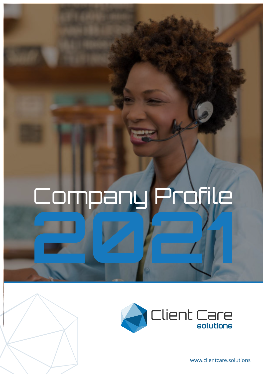# **2021** Company Profile



www.clientcare.solutions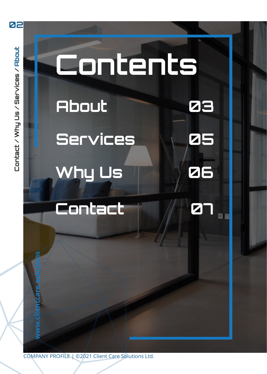**02**

## **Contents About 03 Services 05 Why Us 06 Contact 07 www.clientcare.solutions**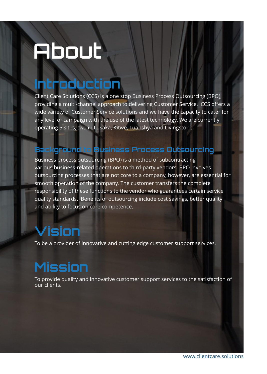### **About**

### **Introduction**

Client Care Solutions (CCS) is a one stop Business Process Outsourcing (BPO), providing a multi-channel approach to delivering Customer Service. CCS offers a wide variety of Customer Service solutions and we have the capacity to cater for any level of campaign with the use of the latest technology. We are currently operating 5 sites, two in Lusaka, Kitwe, Luanshya and Livingstone.

### **Background to Business Process Outsourcing**

Business process outsourcing (BPO) is a method of subcontracting various business-related operations to third-party vendors. BPO involves outsourcing processes that are not core to a company, however, are essential for smooth operation of the company. The customer transfers the complete responsibility of these functions to the vendor who guarantees certain service quality standards. Benefits of outsourcing include cost savings, better quality and ability to focus on core competence.

### **Vision**

To be a provider of innovative and cutting edge customer support services.

### **Mission**

To provide quality and innovative customer support services to the satisfaction of our clients.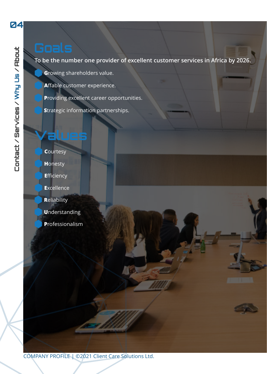**04**

#### **To be the number one provider of excellent customer services in Africa by 2026.**

**G**rowing shareholders value.

**A**ffable customer experience.

**P**roviding excellent career opportunities.

**S**trategic information partnerships.

### **Values**

**C**ourtesy

**H**onesty

**E**fficiency

**E**xcellence

**R**eliability

**U**nderstanding

**P**rofessionalism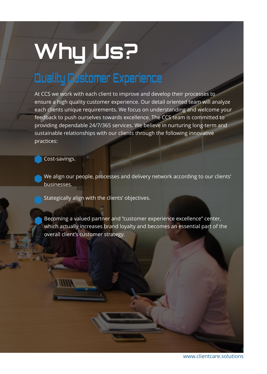## **Why Us?**

### **Quality Customer Experience**

At CCS we work with each client to improve and develop their processes to ensure a high quality customer experience. Our detail oriented team will analyze each clients unique requirements. We focus on understanding and welcome your feedback to push ourselves towards excellence. The CCS team is committed to providing dependable 24/7/365 services. We believe in nurturing long-term and sustainable relationships with our clients through the following innovative practices:

Cost-savings.

We align our people, processes and delivery network according to our clients' businesses.

Stategically align with the clients' objectives.

Becoming a valued partner and "customer experience excellence" center, which actually increases brand loyalty and becomes an essential part of the overall client's customer strategy.

www.clientcare.solutions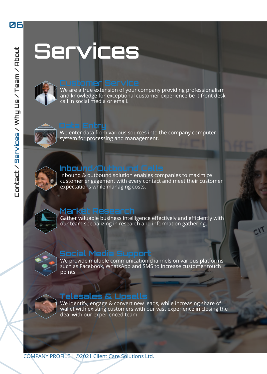### **Services**



#### **Customer Service**

We are a true extension of your company providing professionalism and knowledge for exceptional customer experience be it front desk, call in social media or email.

#### **Data Entry**



We enter data from various sources into the company computer system for processing and management.



### **Inbound/Outbound Calls**

Inbound & outbound solution enables companies to maximize customer engagement with every contact and meet their customer expectations while managing costs.

### **Market Research**

Gather valuable business intelligence effectively and efficiently with our team specializing in research and information gathering.



### **Social Media Support**

We provide multiple communication channels on various platforms such as Facebook, WhatsApp and SMS to increase customer touch points.



#### **Telesales & Upsells**

We identify, engage & convert new leads, while increasing share of wallet with existing customers with our vast experience in closing the deal with our experienced team.

**06**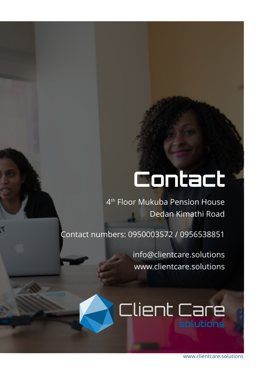### **Contact**

4 th Floor Mukuba Pension House Dedan Kimathi Road

Contact numbers: 0950003572 / 0956538851

٢

info@clientcare.solutions www.clientcare.solutions

### Client Care solutions